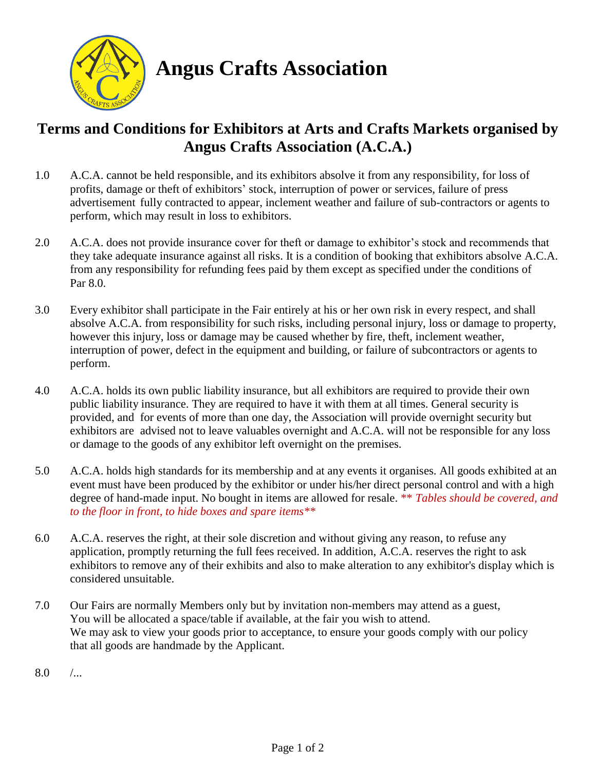

**Angus Crafts Association**

## **Terms and Conditions for Exhibitors at Arts and Crafts Markets organised by Angus Crafts Association (A.C.A.)**

- 1.0 A.C.A. cannot be held responsible, and its exhibitors absolve it from any responsibility, for loss of profits, damage or theft of exhibitors' stock, interruption of power or services, failure of press advertisement fully contracted to appear, inclement weather and failure of sub-contractors or agents to perform, which may result in loss to exhibitors.
- 2.0 A.C.A. does not provide insurance cover for theft or damage to exhibitor's stock and recommends that they take adequate insurance against all risks. It is a condition of booking that exhibitors absolve A.C.A. from any responsibility for refunding fees paid by them except as specified under the conditions of Par 8.0.
- 3.0 Every exhibitor shall participate in the Fair entirely at his or her own risk in every respect, and shall absolve A.C.A. from responsibility for such risks, including personal injury, loss or damage to property, however this injury, loss or damage may be caused whether by fire, theft, inclement weather, interruption of power, defect in the equipment and building, or failure of subcontractors or agents to perform.
- 4.0 A.C.A. holds its own public liability insurance, but all exhibitors are required to provide their own public liability insurance. They are required to have it with them at all times. General security is provided, and for events of more than one day, the Association will provide overnight security but exhibitors are advised not to leave valuables overnight and A.C.A. will not be responsible for any loss or damage to the goods of any exhibitor left overnight on the premises.
- 5.0 A.C.A. holds high standards for its membership and at any events it organises. All goods exhibited at an event must have been produced by the exhibitor or under his/her direct personal control and with a high degree of hand-made input. No bought in items are allowed for resale. \*\* *Tables should be covered, and to the floor in front, to hide boxes and spare items\*\**
- 6.0 A.C.A. reserves the right, at their sole discretion and without giving any reason, to refuse any application, promptly returning the full fees received. In addition, A.C.A. reserves the right to ask exhibitors to remove any of their exhibits and also to make alteration to any exhibitor's display which is considered unsuitable.
- 7.0 Our Fairs are normally Members only but by invitation non-members may attend as a guest, You will be allocated a space/table if available, at the fair you wish to attend. We may ask to view your goods prior to acceptance, to ensure your goods comply with our policy that all goods are handmade by the Applicant.
- $8.0$  /...